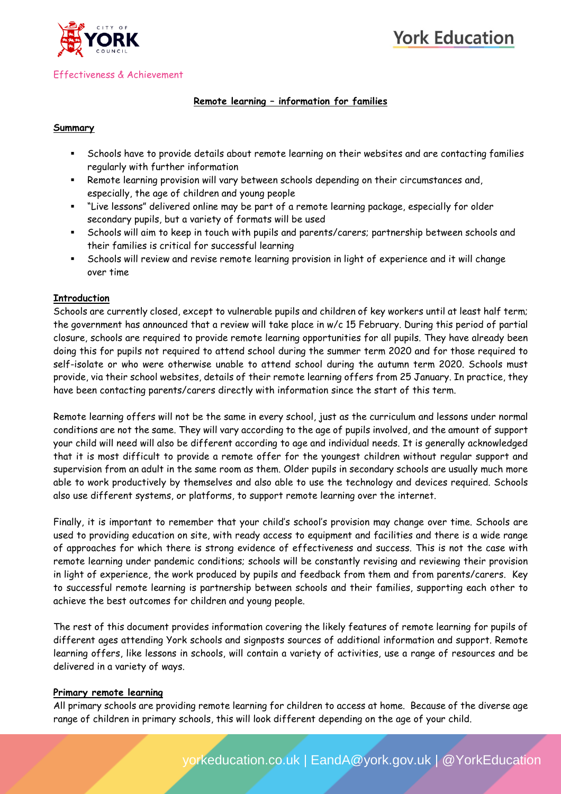



#### Effectiveness & Achievement

## **Remote learning – information for families**

#### **Summary**

- Schools have to provide details about remote learning on their websites and are contacting families regularly with further information
- Remote learning provision will vary between schools depending on their circumstances and, especially, the age of children and young people
- "Live lessons" delivered online may be part of a remote learning package, especially for older secondary pupils, but a variety of formats will be used
- Schools will aim to keep in touch with pupils and parents/carers; partnership between schools and their families is critical for successful learning
- Schools will review and revise remote learning provision in light of experience and it will change over time

#### **Introduction**

Schools are currently closed, except to vulnerable pupils and children of key workers until at least half term; the government has announced that a review will take place in w/c 15 February. During this period of partial closure, schools are required to provide remote learning opportunities for all pupils. They have already been doing this for pupils not required to attend school during the summer term 2020 and for those required to self-isolate or who were otherwise unable to attend school during the autumn term 2020. Schools must provide, via their school websites, details of their remote learning offers from 25 January. In practice, they have been contacting parents/carers directly with information since the start of this term.

Remote learning offers will not be the same in every school, just as the curriculum and lessons under normal conditions are not the same. They will vary according to the age of pupils involved, and the amount of support your child will need will also be different according to age and individual needs. It is generally acknowledged that it is most difficult to provide a remote offer for the youngest children without regular support and supervision from an adult in the same room as them. Older pupils in secondary schools are usually much more able to work productively by themselves and also able to use the technology and devices required. Schools also use different systems, or platforms, to support remote learning over the internet.

Finally, it is important to remember that your child's school's provision may change over time. Schools are used to providing education on site, with ready access to equipment and facilities and there is a wide range of approaches for which there is strong evidence of effectiveness and success. This is not the case with remote learning under pandemic conditions; schools will be constantly revising and reviewing their provision in light of experience, the work produced by pupils and feedback from them and from parents/carers. Key to successful remote learning is partnership between schools and their families, supporting each other to achieve the best outcomes for children and young people.

The rest of this document provides information covering the likely features of remote learning for pupils of different ages attending York schools and signposts sources of additional information and support. Remote learning offers, like lessons in schools, will contain a variety of activities, use a range of resources and be delivered in a variety of ways.

#### **Primary remote learning**

All primary schools are providing remote learning for children to access at home. Because of the diverse age range of children in primary schools, this will look different depending on the age of your child.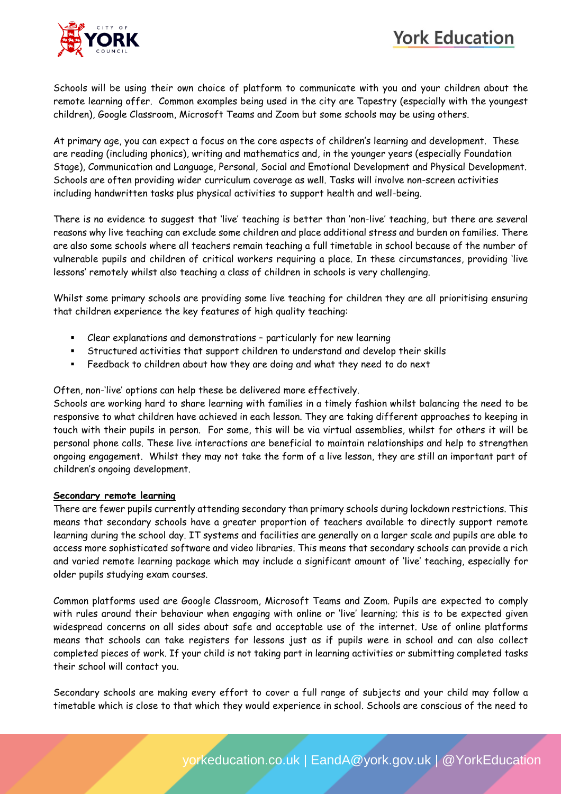# **York Education**



Schools will be using their own choice of platform to communicate with you and your children about the remote learning offer. Common examples being used in the city are Tapestry (especially with the youngest children), Google Classroom, Microsoft Teams and Zoom but some schools may be using others.

At primary age, you can expect a focus on the core aspects of children's learning and development. These are reading (including phonics), writing and mathematics and, in the younger years (especially Foundation Stage), Communication and Language, Personal, Social and Emotional Development and Physical Development. Schools are often providing wider curriculum coverage as well. Tasks will involve non-screen activities including handwritten tasks plus physical activities to support health and well-being.

There is no evidence to suggest that 'live' teaching is better than 'non-live' teaching, but there are several reasons why live teaching can exclude some children and place additional stress and burden on families. There are also some schools where all teachers remain teaching a full timetable in school because of the number of vulnerable pupils and children of critical workers requiring a place. In these circumstances, providing 'live lessons' remotely whilst also teaching a class of children in schools is very challenging.

Whilst some primary schools are providing some live teaching for children they are all prioritising ensuring that children experience the key features of high quality teaching:

- Clear explanations and demonstrations particularly for new learning
- Structured activities that support children to understand and develop their skills
- Feedback to children about how they are doing and what they need to do next

Often, non-'live' options can help these be delivered more effectively.

Schools are working hard to share learning with families in a timely fashion whilst balancing the need to be responsive to what children have achieved in each lesson. They are taking different approaches to keeping in touch with their pupils in person. For some, this will be via virtual assemblies, whilst for others it will be personal phone calls. These live interactions are beneficial to maintain relationships and help to strengthen ongoing engagement. Whilst they may not take the form of a live lesson, they are still an important part of children's ongoing development.

#### **Secondary remote learning**

There are fewer pupils currently attending secondary than primary schools during lockdown restrictions. This means that secondary schools have a greater proportion of teachers available to directly support remote learning during the school day. IT systems and facilities are generally on a larger scale and pupils are able to access more sophisticated software and video libraries. This means that secondary schools can provide a rich and varied remote learning package which may include a significant amount of 'live' teaching, especially for older pupils studying exam courses.

Common platforms used are Google Classroom, Microsoft Teams and Zoom. Pupils are expected to comply with rules around their behaviour when engaging with online or 'live' learning; this is to be expected given widespread concerns on all sides about safe and acceptable use of the internet. Use of online platforms means that schools can take registers for lessons just as if pupils were in school and can also collect completed pieces of work. If your child is not taking part in learning activities or submitting completed tasks their school will contact you.

Secondary schools are making every effort to cover a full range of subjects and your child may follow a timetable which is close to that which they would experience in school. Schools are conscious of the need to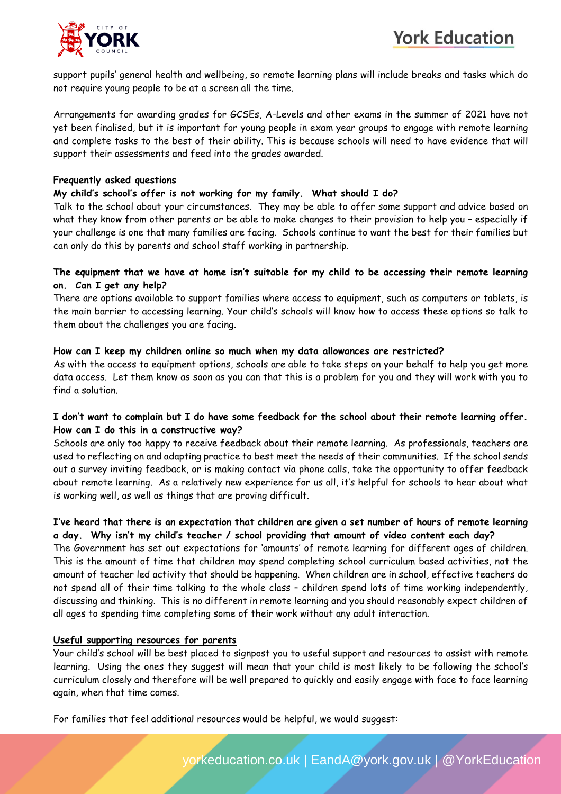

support pupils' general health and wellbeing, so remote learning plans will include breaks and tasks which do not require young people to be at a screen all the time.

Arrangements for awarding grades for GCSEs, A-Levels and other exams in the summer of 2021 have not yet been finalised, but it is important for young people in exam year groups to engage with remote learning and complete tasks to the best of their ability. This is because schools will need to have evidence that will support their assessments and feed into the grades awarded.

## **Frequently asked questions**

#### **My child's school's offer is not working for my family. What should I do?**

Talk to the school about your circumstances. They may be able to offer some support and advice based on what they know from other parents or be able to make changes to their provision to help you – especially if your challenge is one that many families are facing. Schools continue to want the best for their families but can only do this by parents and school staff working in partnership.

## The equipment that we have at home isn't suitable for my child to be accessing their remote learning **on. Can I get any help?**

There are options available to support families where access to equipment, such as computers or tablets, is the main barrier to accessing learning. Your child's schools will know how to access these options so talk to them about the challenges you are facing.

## **How can I keep my children online so much when my data allowances are restricted?**

As with the access to equipment options, schools are able to take steps on your behalf to help you get more data access. Let them know as soon as you can that this is a problem for you and they will work with you to find a solution.

# I don't want to complain but I do have some feedback for the school about their remote learning offer. **How can I do this in a constructive way?**

Schools are only too happy to receive feedback about their remote learning. As professionals, teachers are used to reflecting on and adapting practice to best meet the needs of their communities. If the school sends out a survey inviting feedback, or is making contact via phone calls, take the opportunity to offer feedback about remote learning. As a relatively new experience for us all, it's helpful for schools to hear about what is working well, as well as things that are proving difficult.

## I've heard that there is an expectation that children are given a set number of hours of remote learning **a day. Why isn't my child's teacher / school providing that amount of video content each day?**

The Government has set out expectations for 'amounts' of remote learning for different ages of children. This is the amount of time that children may spend completing school curriculum based activities, not the amount of teacher led activity that should be happening. When children are in school, effective teachers do not spend all of their time talking to the whole class – children spend lots of time working independently, discussing and thinking. This is no different in remote learning and you should reasonably expect children of all ages to spending time completing some of their work without any adult interaction.

# **Useful supporting resources for parents**

Your child's school will be best placed to signpost you to useful support and resources to assist with remote learning. Using the ones they suggest will mean that your child is most likely to be following the school's curriculum closely and therefore will be well prepared to quickly and easily engage with face to face learning again, when that time comes.

For families that feel additional resources would be helpful, we would suggest: